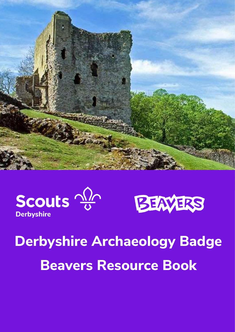





# **Derbyshire Archaeology Badge Beavers Resource Book**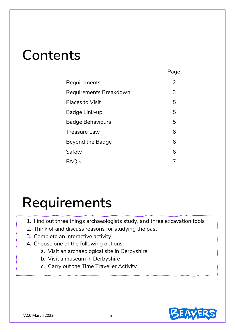### **Contents**

|                         | - 93 |
|-------------------------|------|
| Requirements            | 2    |
| Requirements Breakdown  | 3    |
| <b>Places to Visit</b>  | 5    |
| Badge Link-up           | 5    |
| <b>Badge Behaviours</b> | 5    |
| <b>Treasure Law</b>     | 6    |
| <b>Beyond the Badge</b> | 6    |
| Safety                  | 6    |
| FAQ's                   |      |

 **Page**

### **Requirements**

- 1. Find out three things archaeologists study, and three excavation tools
- 2. Think of and discuss reasons for studying the past
- 3. Complete an interactive activity
- 4. Choose one of the following options:
	- a. Visit an archaeological site in Derbyshire
	- b. Visit a museum in Derbyshire
	- c. Carry out the Time Traveller Activity

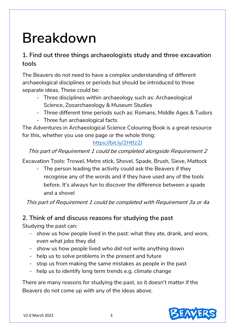## **Breakdown**

### **1. Find out three things archaeologists study and three excavation tools**

The Beavers do not need to have a complex understanding of different archaeological disciplines or periods but should be introduced to three separate ideas. These could be:

- Three disciplines within archaeology such as: Archaeological Science, Zooarchaeology & Museum Studies
- Three different time periods such as: Romans, Middle Ages & Tudors
- Three fun archaeological facts

The Adventures in Archaeological Science Colouring Book is a great resource for this, whether you use one page or the whole thing:

### <https://bit.ly/2Htfz2J>

### This part of Requirement 1 could be completed alongside Requirement 2

Excavation Tools: Trowel, Metre stick, Shovel, Spade, Brush, Sieve, Mattock

- The person leading the activity could ask the Beavers if they recognise any of the words and if they have used any of the tools before. It's always fun to discover the difference between a spade and a shovel

This part of Requirement 1 could be completed with Requirement 3a or 4a

### **2. Think of and discuss reasons for studying the past**

Studying the past can:

- show us how people lived in the past: what they ate, drank, and wore, even what jobs they did
- show us how people lived who did not write anything down
- help us to solve problems in the present and future
- stop us from making the same mistakes as people in the past
- help us to identify long term trends e.g. climate change

There are many reasons for studying the past, so it doesn't matter if the Beavers do not come up with any of the ideas above.

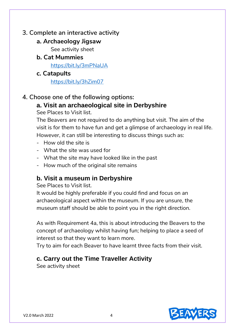### **3. Complete an interactive activity**

### **a. Archaeology Jigsaw**

See activity sheet

**b. Cat Mummies**

<https://bit.ly/3mPNaUA>

**c. Catapults**

<https://bit.ly/3hZim07>

### **4. Choose one of the following options:**

### **a. Visit an archaeological site in Derbyshire**

See Places to Visit list.

The Beavers are not required to do anything but visit. The aim of the visit is for them to have fun and get a glimpse of archaeology in real life. However, it can still be interesting to discuss things such as:

- How old the site is
- What the site was used for
- What the site may have looked like in the past
- How much of the original site remains

### **b. Visit a museum in Derbyshire**

See Places to Visit list.

It would be highly preferable if you could find and focus on an archaeological aspect within the museum. If you are unsure, the museum staff should be able to point you in the right direction.

As with Requirement 4a, this is about introducing the Beavers to the concept of archaeology whilst having fun; helping to place a seed of interest so that they want to learn more.

Try to aim for each Beaver to have learnt three facts from their visit.

### **c. Carry out the Time Traveller Activity**

See activity sheet

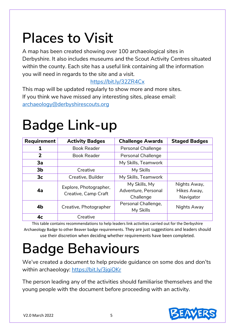# **Places to Visit**

A map has been created showing over 100 archaeological sites in Derbyshire. It also includes museums and the Scout Activity Centres situated within the county. Each site has a useful link containing all the information you will need in regards to the site and a visit.

### <https://bit.ly/32ZR4Cx>

This map will be updated regularly to show more and more sites. If you think we have missed any interesting sites, please email: [archaeology@derbyshirescouts.org](mailto:archaeology@derbyshirescouts.org)

# **Badge Link-up**

| Requirement    | <b>Activity Badges</b>                         | <b>Challenge Awards</b>   | <b>Staged Badges</b> |
|----------------|------------------------------------------------|---------------------------|----------------------|
|                | <b>Book Reader</b>                             | <b>Personal Challenge</b> |                      |
| 2              | <b>Book Reader</b>                             | <b>Personal Challenge</b> |                      |
| 3a             |                                                | My Skills, Teamwork       |                      |
| 3 <sub>b</sub> | Creative                                       | My Skills                 |                      |
| 3 <sub>c</sub> | Creative, Builder                              | My Skills, Teamwork       |                      |
| 4a             | Explore, Photographer,<br>Creative, Camp Craft | My Skills, My             | Nights Away,         |
|                |                                                | Adventure, Personal       | Hikes Away,          |
|                |                                                | Challenge                 | Navigator            |
| 4 <sub>b</sub> | Creative, Photographer                         | Personal Challenge,       | Nights Away          |
|                |                                                | My Skills                 |                      |
| 4 <sub>c</sub> | Creative                                       |                           |                      |

This table contains recommendations to help leaders link activities carried out for the Derbyshire Archaeology Badge to other Beaver badge requirements. They are just suggestions and leaders should use their discretion when deciding whether requirements have been completed.

# **Badge Behaviours**

We've created a document to help provide guidance on some dos and don'ts within archaeology: https://bit.ly/3jgiOKr

The person leading any of the activities should familiarise themselves and the young people with the document before proceeding with an activity.

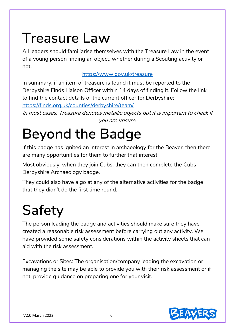# **Treasure Law**

All leaders should familiarise themselves with the Treasure Law in the event of a young person finding an object, whether during a Scouting activity or not.

### <https://www.gov.uk/treasure>

In summary, if an item of treasure is found it must be reported to the Derbyshire Finds Liaison Officer within 14 days of finding it. Follow the link to find the contact details of the current officer for Derbyshire:

<https://finds.org.uk/counties/derbyshire/team/>

In most cases, Treasure denotes metallic objects but it is important to check if you are unsure.

# **Beyond the Badge**

If this badge has ignited an interest in archaeology for the Beaver, then there are many opportunities for them to further that interest.

Most obviously, when they join Cubs, they can then complete the Cubs Derbyshire Archaeology badge.

They could also have a go at any of the alternative activities for the badge that they didn't do the first time round.

# **Safety**

The person leading the badge and activities should make sure they have created a reasonable risk assessment before carrying out any activity. We have provided some safety considerations within the activity sheets that can aid with the risk assessment.

Excavations or Sites: The organisation/company leading the excavation or managing the site may be able to provide you with their risk assessment or if not, provide guidance on preparing one for your visit.

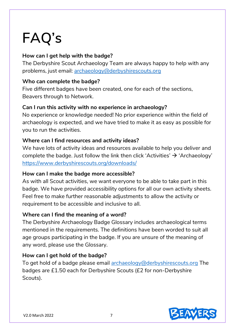# **FAQ's**

### **How can I get help with the badge?**

The Derbyshire Scout Archaeology Team are always happy to help with any problems, just email: [archaeology@derbyshirescouts.org](mailto:archaeology@derbyshirescouts.org)

#### **Who can complete the badge?**

Five different badges have been created, one for each of the sections, Beavers through to Network.

#### **Can I run this activity with no experience in archaeology?**

No experience or knowledge needed! No prior experience within the field of archaeology is expected, and we have tried to make it as easy as possible for you to run the activities.

#### **Where can I find resources and activity ideas?**

We have lots of activity ideas and resources available to help you deliver and complete the badge. Just follow the link then click 'Activities'  $\rightarrow$  'Archaeology' <https://www.derbyshirescouts.org/downloads/>

#### **How can I make the badge more accessible?**

As with all Scout activities, we want everyone to be able to take part in this badge. We have provided accessibility options for all our own activity sheets. Feel free to make further reasonable adjustments to allow the activity or requirement to be accessible and inclusive to all.

#### **Where can I find the meaning of a word?**

The Derbyshire Archaeology Badge Glossary includes archaeological terms mentioned in the requirements. The definitions have been worded to suit all age groups participating in the badge. If you are unsure of the meaning of any word, please use the Glossary.

#### **How can I get hold of the badge?**

To get hold of a badge please email [archaeology@derbyshirescouts.org](mailto:archaeology@derbyshirescouts.org) The badges are £1.50 each for Derbyshire Scouts (£2 for non-Derbyshire Scouts).